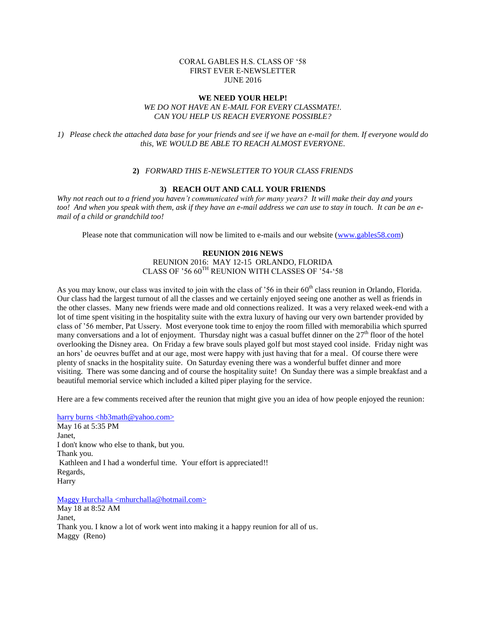# CORAL GABLES H.S. CLASS OF '58 FIRST EVER E-NEWSLETTER JUNE 2016

#### **WE NEED YOUR HELP!**

## *WE DO NOT HAVE AN E-MAIL FOR EVERY CLASSMATE!. CAN YOU HELP US REACH EVERYONE POSSIBLE?*

*1) Please check the attached data base for your friends and see if we have an e-mail for them. If everyone would do this, WE WOULD BE ABLE TO REACH ALMOST EVERYONE.*

#### **2)** *FORWARD THIS E-NEWSLETTER TO YOUR CLASS FRIENDS*

# **3) REACH OUT AND CALL YOUR FRIENDS**

*Why not reach out to a friend you haven't communicated with for many years? It will make their day and yours too! And when you speak with them, ask if they have an e-mail address we can use to stay in touch. It can be an email of a child or grandchild too!*

Please note that communication will now be limited to e-mails and our website [\(www.gables58.com\)](http://www.gables58.com/)

# **REUNION 2016 NEWS** REUNION 2016: MAY 12-15 ORLANDO, FLORIDA CLASS OF  $^{\circ}$ 56 60 $^{\mathrm{TH}}$  REUNION WITH CLASSES OF  $^{\circ}$ 54-'58

As you may know, our class was invited to join with the class of '56 in their 60<sup>th</sup> class reunion in Orlando, Florida. Our class had the largest turnout of all the classes and we certainly enjoyed seeing one another as well as friends in the other classes. Many new friends were made and old connections realized. It was a very relaxed week-end with a lot of time spent visiting in the hospitality suite with the extra luxury of having our very own bartender provided by class of '56 member, Pat Ussery. Most everyone took time to enjoy the room filled with memorabilia which spurred many conversations and a lot of enjoyment. Thursday night was a casual buffet dinner on the  $27<sup>th</sup>$  floor of the hotel overlooking the Disney area. On Friday a few brave souls played golf but most stayed cool inside. Friday night was an hors' de oeuvres buffet and at our age, most were happy with just having that for a meal. Of course there were plenty of snacks in the hospitality suite. On Saturday evening there was a wonderful buffet dinner and more visiting. There was some dancing and of course the hospitality suite! On Sunday there was a simple breakfast and a beautiful memorial service which included a kilted piper playing for the service.

Here are a few comments received after the reunion that might give you an idea of how people enjoyed the reunion:

harry burns <hb3math@yahoo.com> May 16 at 5:35 PM Janet, I don't know who else to thank, but you. Thank you. Kathleen and I had a wonderful time. Your effort is appreciated!! Regards, Harry

 $M$ aggy Hurchalla  $\langle$ mhurchalla@hotmail.com>

May 18 at 8:52 AM Janet, Thank you. I know a lot of work went into making it a happy reunion for all of us. Maggy (Reno)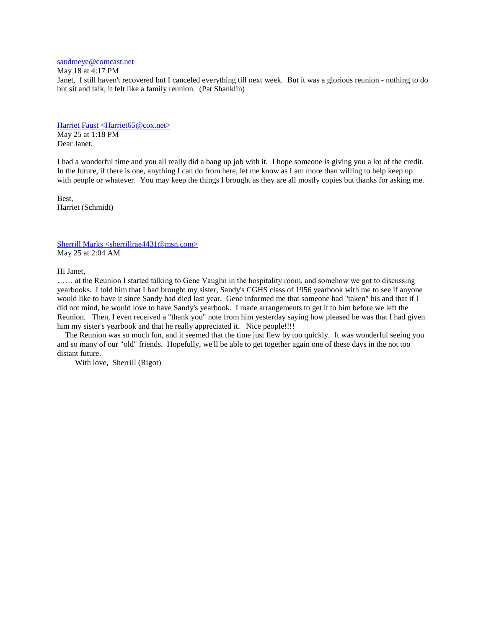[sandmeye@comcast.net](mailto:sandmeye@comcast.net) 

May 18 at 4:17 PM

Janet, I still haven't recovered but I canceled everything till next week. But it was a glorious reunion - nothing to do but sit and talk, it felt like a family reunion. (Pat Shanklin)

[Harriet Faust <Harriet65@cox.net>](mailto:Harriet65@cox.net)  May 25 at 1:18 PM Dear Janet,

I had a wonderful time and you all really did a bang up job with it. I hope someone is giving you a lot of the credit. In the future, if there is one, anything I can do from here, let me know as I am more than willing to help keep up with people or whatever. You may keep the things I brought as they are all mostly copies but thanks for asking me.

Best, Harriet (Schmidt)

[Sherrill Marks <sherrillrae4431@msn.com>](mailto:sherrillrae4431@msn.com) May 25 at 2:04 AM

Hi Janet,

…… at the Reunion I started talking to Gene Vaughn in the hospitality room, and somehow we got to discussing yearbooks. I told him that I had brought my sister, Sandy's CGHS class of 1956 yearbook with me to see if anyone would like to have it since Sandy had died last year. Gene informed me that someone had "taken" his and that if I did not mind, he would love to have Sandy's yearbook. I made arrangements to get it to him before we left the Reunion. Then, I even received a "thank you" note from him yesterday saying how pleased he was that I had given him my sister's yearbook and that he really appreciated it. Nice people!!!!

 The Reunion was so much fun, and it seemed that the time just flew by too quickly. It was wonderful seeing you and so many of our "old" friends. Hopefully, we'll be able to get together again one of these days in the not too distant future.

With love, Sherrill (Rigot)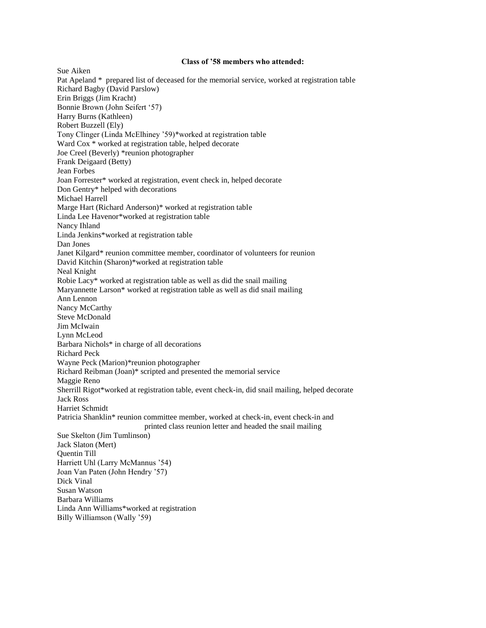## **Class of '58 members who attended:**

Sue Aiken Pat Apeland \* prepared list of deceased for the memorial service, worked at registration table Richard Bagby (David Parslow) Erin Briggs (Jim Kracht) Bonnie Brown (John Seifert '57) Harry Burns (Kathleen) Robert Buzzell (Ely) Tony Clinger (Linda McElhiney '59)\*worked at registration table Ward Cox \* worked at registration table, helped decorate Joe Creel (Beverly) \*reunion photographer Frank Deigaard (Betty) Jean Forbes Joan Forrester\* worked at registration, event check in, helped decorate Don Gentry\* helped with decorations Michael Harrell Marge Hart (Richard Anderson)\* worked at registration table Linda Lee Havenor\*worked at registration table Nancy Ihland Linda Jenkins\*worked at registration table Dan Jones Janet Kilgard\* reunion committee member, coordinator of volunteers for reunion David Kitchin (Sharon)\*worked at registration table Neal Knight Robie Lacy\* worked at registration table as well as did the snail mailing Maryannette Larson\* worked at registration table as well as did snail mailing Ann Lennon Nancy McCarthy Steve McDonald Jim McIwain Lynn McLeod Barbara Nichols\* in charge of all decorations Richard Peck Wayne Peck (Marion)\*reunion photographer Richard Reibman (Joan)\* scripted and presented the memorial service Maggie Reno Sherrill Rigot\*worked at registration table, event check-in, did snail mailing, helped decorate Jack Ross Harriet Schmidt Patricia Shanklin\* reunion committee member, worked at check-in, event check-in and printed class reunion letter and headed the snail mailing Sue Skelton (Jim Tumlinson) Jack Slaton (Mert) Quentin Till Harriett Uhl (Larry McMannus '54) Joan Van Paten (John Hendry '57) Dick Vinal Susan Watson Barbara Williams Linda Ann Williams\*worked at registration Billy Williamson (Wally '59)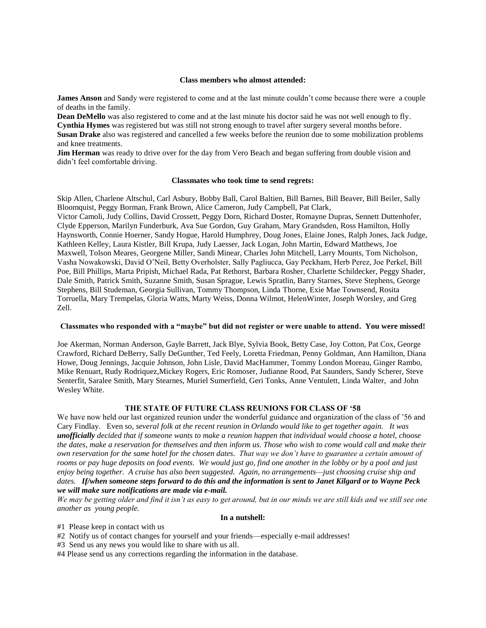#### **Class members who almost attended:**

**James Anson** and Sandy were registered to come and at the last minute couldn't come because there were a couple of deaths in the family.

**Dean DeMello** was also registered to come and at the last minute his doctor said he was not well enough to fly. **Cynthia Hymes** was registered but was still not strong enough to travel after surgery several months before. **Susan Drake** also was registered and cancelled a few weeks before the reunion due to some mobilization problems and knee treatments.

**Jim Herman** was ready to drive over for the day from Vero Beach and began suffering from double vision and didn't feel comfortable driving.

## **Classmates who took time to send regrets:**

Skip Allen, Charlene Altschul, Carl Asbury, Bobby Ball, Carol Baltien, Bill Barnes, Bill Beaver, Bill Beiler, Sally Bloomquist, Peggy Borman, Frank Brown, Alice Cameron, Judy Campbell, Pat Clark, Victor Camoli, Judy Collins, David Crossett, Peggy Dorn, Richard Doster, Romayne Dupras, Sennett Duttenhofer, Clyde Epperson, Marilyn Funderburk, Ava Sue Gordon, Guy Graham, Mary Grandsden, Ross Hamilton, Holly Haynsworth, Connie Hoerner, Sandy Hogue, Harold Humphrey, Doug Jones, Elaine Jones, Ralph Jones, Jack Judge, Kathleen Kelley, Laura Kistler, Bill Krupa, Judy Laesser, Jack Logan, John Martin, Edward Matthews, Joe Maxwell, Tolson Meares, Georgene Miller, Sandi Minear, Charles John Mitchell, Larry Mounts, Tom Nicholson, Vasha Nowakowski, David O'Neil, Betty Overholster, Sally Pagliucca, Gay Peckham, Herb Perez, Joe Perkel, Bill Poe, Bill Phillips, Marta Pripish, Michael Rada, Pat Rethorst, Barbara Rosher, Charlette Schildecker, Peggy Shader, Dale Smith, Patrick Smith, Suzanne Smith, Susan Sprague, Lewis Spratlin, Barry Starnes, Steve Stephens, George Stephens, Bill Studeman, Georgia Sullivan, Tommy Thompson, Linda Thorne, Exie Mae Townsend, Rosita Torruella, Mary Trempelas, Gloria Watts, Marty Weiss, Donna Wilmot, HelenWinter, Joseph Worsley, and Greg Zell.

## **Classmates who responded with a "maybe" but did not register or were unable to attend. You were missed!**

Joe Akerman, Norman Anderson, Gayle Barrett, Jack Blye, Sylvia Book, Betty Case, Joy Cotton, Pat Cox, George Crawford, Richard DeBerry, Sally DeGunther, Ted Feely, Loretta Friedman, Penny Goldman, Ann Hamilton, Diana Howe, Doug Jennings, Jacquie Johnson, John Lisle, David MacHammer, Tommy London Moreau, Ginger Rambo, Mike Renuart, Rudy Rodriquez,Mickey Rogers, Eric Romoser, Judianne Rood, Pat Saunders, Sandy Scherer, Steve Senterfit, Saralee Smith, Mary Stearnes, Muriel Sumerfield, Geri Tonks, Anne Ventulett, Linda Walter, and John Wesley White.

## **THE STATE OF FUTURE CLASS REUNIONS FOR CLASS OF '58**

We have now held our last organized reunion under the wonderful guidance and organization of the class of '56 and Cary Findlay. Even so, *several folk at the recent reunion in Orlando would like to get together again. It was unofficially decided that if someone wants to make a reunion happen that individual would choose a hotel, choose the dates, make a reservation for themselves and then inform us. Those who wish to come would call and make their own reservation for the same hotel for the chosen dates. That way we don't have to guarantee a certain amount of rooms or pay huge deposits on food events. We would just go, find one another in the lobby or by a pool and just enjoy being together. A cruise has also been suggested. Again, no arrangements—just choosing cruise ship and dates. If/when someone steps forward to do this and the information is sent to Janet Kilgard or to Wayne Peck we will make sure notifications are made via e-mail.* 

*We may be getting older and find it isn't as easy to get around, but in our minds we are still kids and we still see one another as young people.*

#### **In a nutshell:**

- #1 Please keep in contact with us
- #2 Notify us of contact changes for yourself and your friends—especially e-mail addresses!
- #3 Send us any news you would like to share with us all.
- #4 Please send us any corrections regarding the information in the database.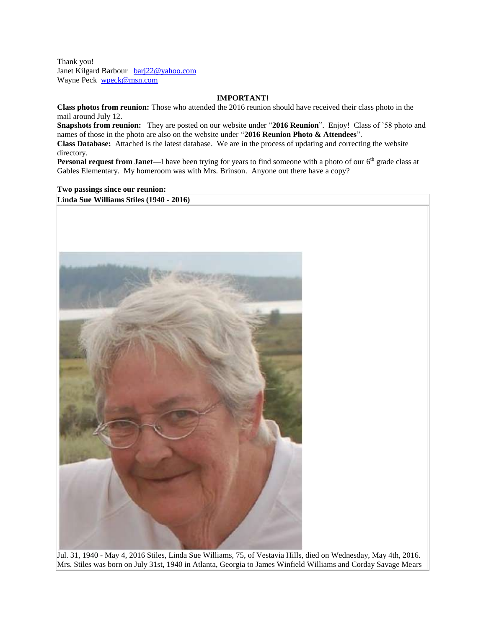Thank you! Janet Kilgard Barbour [barj22@yahoo.com](mailto:barj22@yahoo.com) Wayne Peck [wpeck@msn.com](mailto:wpeck@msn.com)

## **IMPORTANT!**

**Class photos from reunion:** Those who attended the 2016 reunion should have received their class photo in the mail around July 12.

**Snapshots from reunion:** They are posted on our website under "**2016 Reunion**". Enjoy! Class of '58 photo and names of those in the photo are also on the website under "**2016 Reunion Photo & Attendees**".

**Class Database:** Attached is the latest database. We are in the process of updating and correcting the website directory.

**Personal request from Janet—I** have been trying for years to find someone with a photo of our 6<sup>th</sup> grade class at Gables Elementary. My homeroom was with Mrs. Brinson. Anyone out there have a copy?

**Two passings since our reunion:**

**Linda Sue Williams Stiles (1940 - 2016)**



Jul. 31, 1940 - May 4, 2016 Stiles, Linda Sue Williams, 75, of Vestavia Hills, died on Wednesday, May 4th, 2016. Mrs. Stiles was born on July 31st, 1940 in Atlanta, Georgia to James Winfield Williams and Corday Savage Mears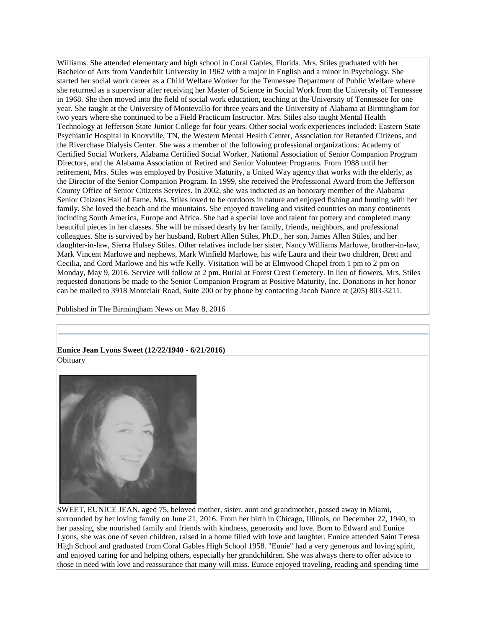Williams. She attended elementary and high school in Coral Gables, Florida. Mrs. Stiles graduated with her Bachelor of Arts from Vanderbilt University in 1962 with a major in English and a minor in Psychology. She started her social work career as a Child Welfare Worker for the Tennessee Department of Public Welfare where she returned as a supervisor after receiving her Master of Science in Social Work from the University of Tennessee in 1968. She then moved into the field of social work education, teaching at the University of Tennessee for one year. She taught at the University of Montevallo for three years and the University of Alabama at Birmingham for two years where she continued to be a Field Practicum Instructor. Mrs. Stiles also taught Mental Health Technology at Jefferson State Junior College for four years. Other social work experiences included: Eastern State Psychiatric Hospital in Knoxville, TN, the Western Mental Health Center, Association for Retarded Citizens, and the Riverchase Dialysis Center. She was a member of the following professional organizations: Academy of Certified Social Workers, Alabama Certified Social Worker, National Association of Senior Companion Program Directors, and the Alabama Association of Retired and Senior Volunteer Programs. From 1988 until her retirement, Mrs. Stiles was employed by Positive Maturity, a United Way agency that works with the elderly, as the Director of the Senior Companion Program. In 1999, she received the Professional Award from the Jefferson County Office of Senior Citizens Services. In 2002, she was inducted as an honorary member of the Alabama Senior Citizens Hall of Fame. Mrs. Stiles loved to be outdoors in nature and enjoyed fishing and hunting with her family. She loved the beach and the mountains. She enjoyed traveling and visited countries on many continents including South America, Europe and Africa. She had a special love and talent for pottery and completed many beautiful pieces in her classes. She will be missed dearly by her family, friends, neighbors, and professional colleagues. She is survived by her husband, Robert Allen Stiles, Ph.D., her son, James Allen Stiles, and her daughter-in-law, Sierra Hulsey Stiles. Other relatives include her sister, Nancy Williams Marlowe, brother-in-law, Mark Vincent Marlowe and nephews, Mark Winfield Marlowe, his wife Laura and their two children, Brett and Cecilia, and Cord Marlowe and his wife Kelly. Visitation will be at Elmwood Chapel from 1 pm to 2 pm on Monday, May 9, 2016. Service will follow at 2 pm. Burial at Forest Crest Cemetery. In lieu of flowers, Mrs. Stiles requested donations be made to the Senior Companion Program at Positive Maturity, Inc. Donations in her honor can be mailed to 3918 Montclair Road, Suite 200 or by phone by contacting Jacob Nance at (205) 803-3211.

Published in The Birmingham News on May 8, 2016

## **Eunice Jean Lyons Sweet (12/22/1940 - 6/21/2016)**

**Obituary** 



SWEET, EUNICE JEAN, aged 75, beloved mother, sister, aunt and grandmother, passed away in Miami, surrounded by her loving family on June 21, 2016. From her birth in Chicago, Illinois, on December 22, 1940, to her passing, she nourished family and friends with kindness, generosity and love. Born to Edward and Eunice Lyons, she was one of seven children, raised in a home filled with love and laughter. Eunice attended Saint Teresa High School and graduated from Coral Gables High School 1958. "Eunie" had a very generous and loving spirit, and enjoyed caring for and helping others, especially her grandchildren. She was always there to offer advice to those in need with love and reassurance that many will miss. Eunice enjoyed traveling, reading and spending time